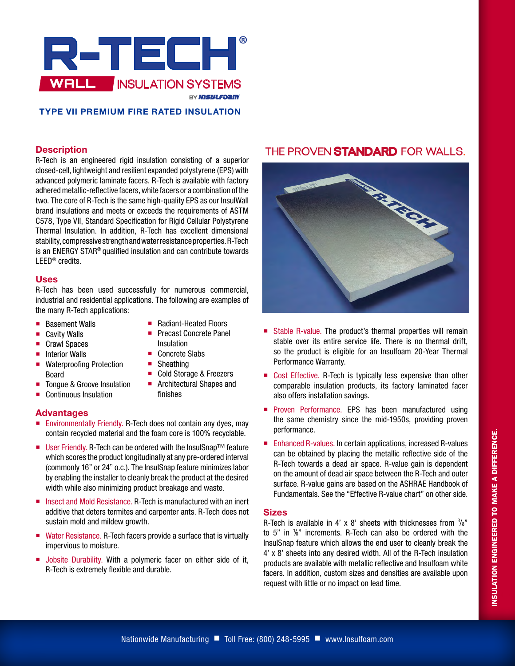

# **TYPE VII PREMIUM FIRE RATED INSULATION**

### **Description**

R-Tech is an engineered rigid insulation consisting of a superior closed-cell, lightweight and resilient expanded polystyrene (EPS) with advanced polymeric laminate facers. R-Tech is available with factory adhered metallic-reflective facers, white facers or a combination of the two. The core of R-Tech is the same high-quality EPS as our InsulWall brand insulations and meets or exceeds the requirements of ASTM C578, Type VII, Standard Specification for Rigid Cellular Polystyrene Thermal Insulation. In addition, R-Tech has excellent dimensional stability, compressive strength and water resistance properties. R-Tech is an ENERGY STAR® qualified insulation and can contribute towards LEED® credits.

#### **Uses**

R-Tech has been used successfully for numerous commercial, industrial and residential applications. The following are examples of the many R-Tech applications:

> ■ Radiant-Heated Floors **Precast Concrete Panel**

■ Cold Storage & Freezers **Architectural Shapes and** 

Insulation ■ Concrete Slabs ■ Sheathing

finishes

- **Basement Walls**
- Cavity Walls
- Crawl Spaces
- $\blacksquare$  Interior Walls
- Waterproofing Protection Board
- Tongue & Groove Insulation
- Continuous Insulation

# **Advantages**

- **Environmentally Friendly. R-Tech does not contain any dyes, may** contain recycled material and the foam core is 100% recyclable.
- User Friendly. R-Tech can be ordered with the InsulSnap<sup>™</sup> feature which scores the product longitudinally at any pre-ordered interval (commonly 16" or 24" o.c.). The InsulSnap feature minimizes labor by enabling the installer to cleanly break the product at the desired width while also minimizing product breakage and waste.
- Insect and Mold Resistance. R-Tech is manufactured with an inert additive that deters termites and carpenter ants. R-Tech does not sustain mold and mildew growth.
- Water Resistance. R-Tech facers provide a surface that is virtually impervious to moisture.
- **Jobsite Durability. With a polymeric facer on either side of it,** R-Tech is extremely flexible and durable.

# THE PROVEN STANDARD FOR WALLS.



- Stable R-value. The product's thermal properties will remain stable over its entire service life. There is no thermal drift, so the product is eligible for an Insulfoam 20-Year Thermal Performance Warranty.
- Cost Effective. R-Tech is typically less expensive than other comparable insulation products, its factory laminated facer also offers installation savings.
- **Proven Performance. EPS has been manufactured using** the same chemistry since the mid-1950s, providing proven performance.
- Enhanced R-values. In certain applications, increased R-values can be obtained by placing the metallic reflective side of the R-Tech towards a dead air space. R-value gain is dependent on the amount of dead air space between the R-Tech and outer surface. R-value gains are based on the ASHRAE Handbook of Fundamentals. See the "Effective R-value chart" on other side.

# **Sizes**

R-Tech is available in 4' x 8' sheets with thicknesses from  $\frac{3}{8}$ " to 5" in 1 /8" increments. R-Tech can also be ordered with the InsulSnap feature which allows the end user to cleanly break the 4' x 8' sheets into any desired width. All of the R-Tech insulation products are available with metallic reflective and Insulfoam white facers. In addition, custom sizes and densities are available upon request with little or no impact on lead time.